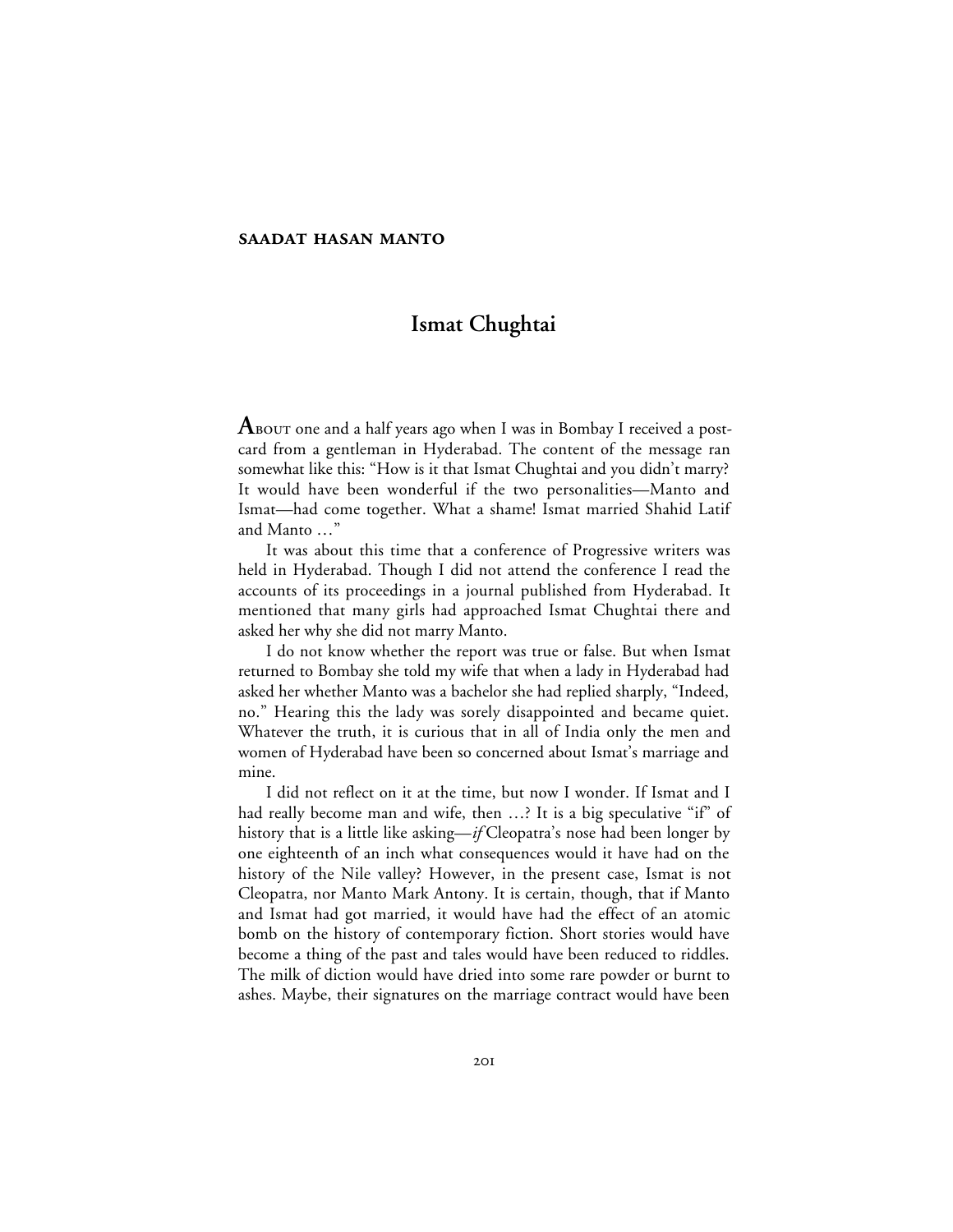## **Ismat Chughtai**

 ${\bf A}$ во ${\bf v}$ т one and a half years ago when I was in Bombay I received a postcard from a gentleman in Hyderabad. The content of the message ran somewhat like this: "How is it that Ismat Chughtai and you didn't marry? It would have been wonderful if the two personalities—Manto and Ismat—had come together. What a shame! Ismat married Shahid Latif and Manto …"

It was about this time that a conference of Progressive writers was held in Hyderabad. Though I did not attend the conference I read the accounts of its proceedings in a journal published from Hyderabad. It mentioned that many girls had approached Ismat Chughtai there and asked her why she did not marry Manto.

I do not know whether the report was true or false. But when Ismat returned to Bombay she told my wife that when a lady in Hyderabad had asked her whether Manto was a bachelor she had replied sharply, "Indeed, no." Hearing this the lady was sorely disappointed and became quiet. Whatever the truth, it is curious that in all of India only the men and women of Hyderabad have been so concerned about Ismat's marriage and mine.

I did not reflect on it at the time, but now I wonder. If Ismat and I had really become man and wife, then ...? It is a big speculative "if" of history that is a little like asking—*if* Cleopatra's nose had been longer by one eighteenth of an inch what consequences would it have had on the history of the Nile valley? However, in the present case, Ismat is not Cleopatra, nor Manto Mark Antony. It is certain, though, that if Manto and Ismat had got married, it would have had the effect of an atomic bomb on the history of contemporary fiction. Short stories would have become a thing of the past and tales would have been reduced to riddles. The milk of diction would have dried into some rare powder or burnt to ashes. Maybe, their signatures on the marriage contract would have been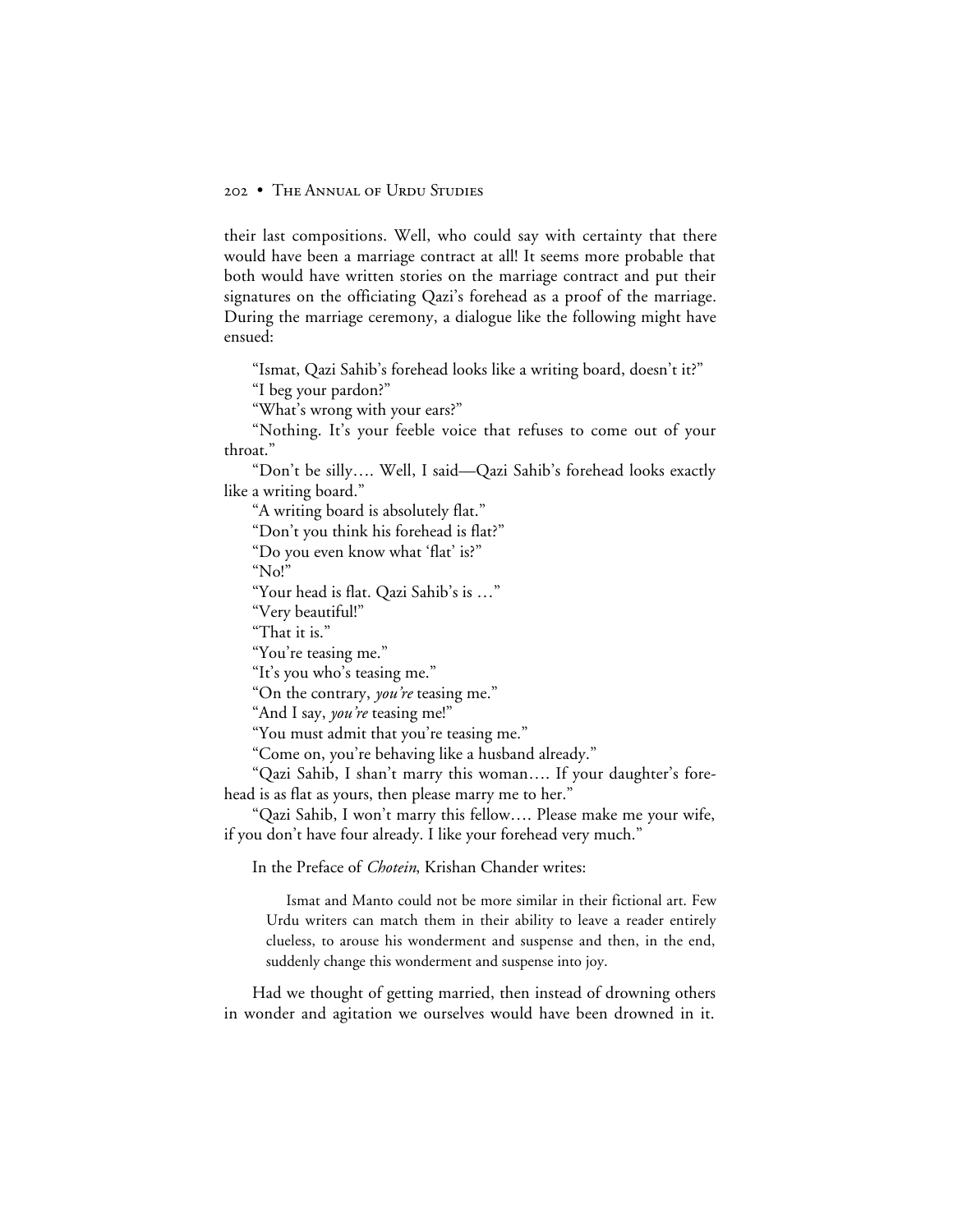their last compositions. Well, who could say with certainty that there would have been a marriage contract at all! It seems more probable that both would have written stories on the marriage contract and put their signatures on the officiating Qazi's forehead as a proof of the marriage. During the marriage ceremony, a dialogue like the following might have ensued:

"Ismat, Qazi Sahib's forehead looks like a writing board, doesn't it?"

"I beg your pardon?"

"What's wrong with your ears?"

"Nothing. It's your feeble voice that refuses to come out of your throat."

"Don't be silly…. Well, I said—Qazi Sahib's forehead looks exactly like a writing board."

"A writing board is absolutely flat."

"Don't you think his forehead is flat?"

"Do you even know what 'flat' is?"

" $N_0$ "

"Your head is flat. Qazi Sahib's is …"

"Very beautiful!"

"That it is."

"You're teasing me."

"It's you who's teasing me."

"On the contrary, *you're* teasing me."

"And I say, *you're* teasing me!"

"You must admit that you're teasing me."

"Come on, you're behaving like a husband already."

"Qazi Sahib, I shan't marry this woman…. If your daughter's forehead is as flat as yours, then please marry me to her."

"Qazi Sahib, I won't marry this fellow…. Please make me your wife, if you don't have four already. I like your forehead very much."

In the Preface of *Chotein*, Krishan Chander writes:

Ismat and Manto could not be more similar in their fictional art. Few Urdu writers can match them in their ability to leave a reader entirely clueless, to arouse his wonderment and suspense and then, in the end, suddenly change this wonderment and suspense into joy.

Had we thought of getting married, then instead of drowning others in wonder and agitation we ourselves would have been drowned in it.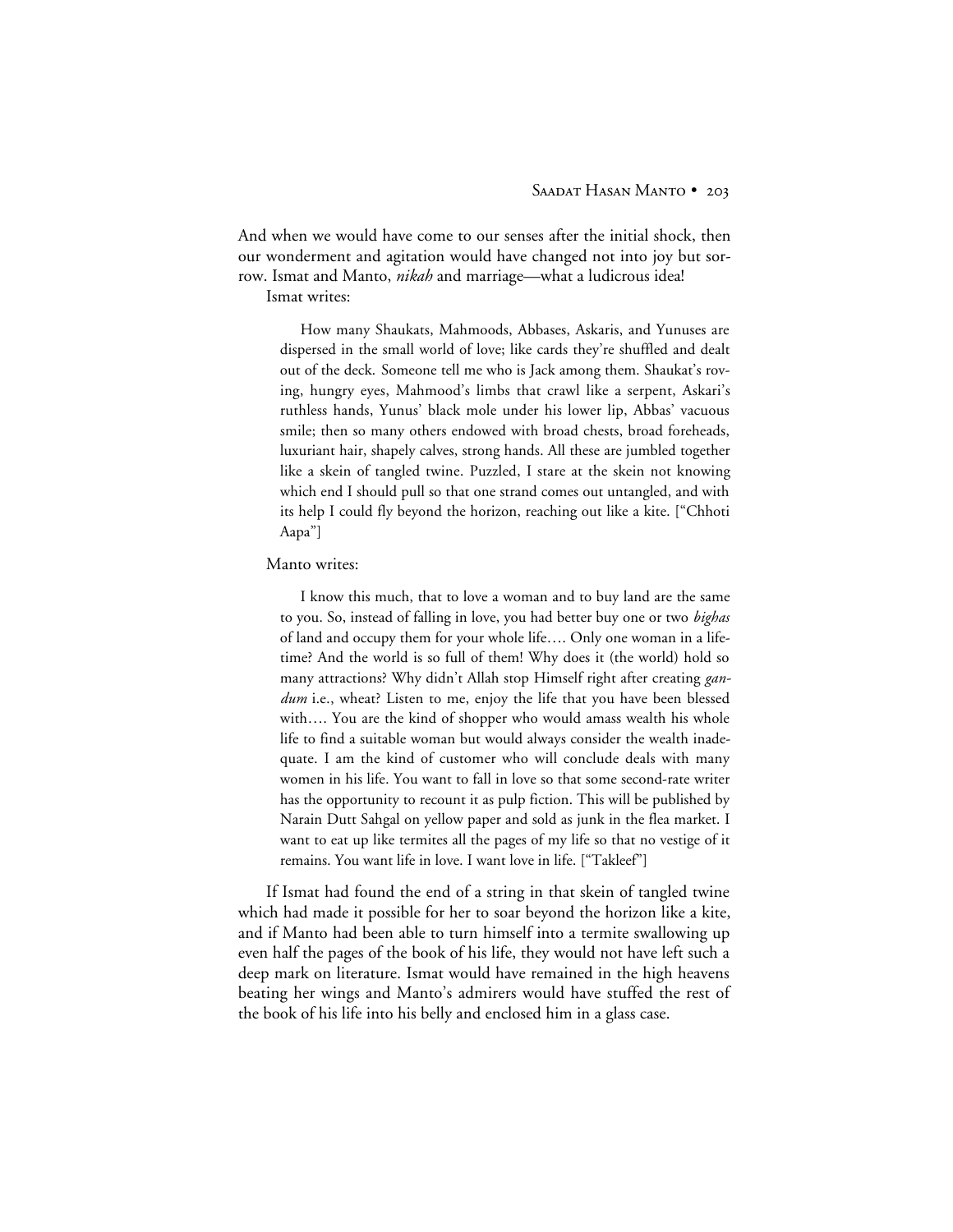And when we would have come to our senses after the initial shock, then our wonderment and agitation would have changed not into joy but sorrow. Ismat and Manto, *nikah* and marriage—what a ludicrous idea! Ismat writes:

How many Shaukats, Mahmoods, Abbases, Askaris, and Yunuses are dispersed in the small world of love; like cards they're shuffled and dealt out of the deck. Someone tell me who is Jack among them. Shaukat's roving, hungry eyes, Mahmood's limbs that crawl like a serpent, Askari's ruthless hands, Yunus' black mole under his lower lip, Abbas' vacuous smile; then so many others endowed with broad chests, broad foreheads, luxuriant hair, shapely calves, strong hands. All these are jumbled together like a skein of tangled twine. Puzzled, I stare at the skein not knowing which end I should pull so that one strand comes out untangled, and with its help I could fly beyond the horizon, reaching out like a kite. ["Chhoti Aapa"]

## Manto writes:

I know this much, that to love a woman and to buy land are the same to you. So, instead of falling in love, you had better buy one or two *bighas* of land and occupy them for your whole life…. Only one woman in a lifetime? And the world is so full of them! Why does it (the world) hold so many attractions? Why didn't Allah stop Himself right after creating *gandum* i.e., wheat? Listen to me, enjoy the life that you have been blessed with…. You are the kind of shopper who would amass wealth his whole life to find a suitable woman but would always consider the wealth inadequate. I am the kind of customer who will conclude deals with many women in his life. You want to fall in love so that some second-rate writer has the opportunity to recount it as pulp fiction. This will be published by Narain Dutt Sahgal on yellow paper and sold as junk in the flea market. I want to eat up like termites all the pages of my life so that no vestige of it remains. You want life in love. I want love in life. ["Takleef"]

If Ismat had found the end of a string in that skein of tangled twine which had made it possible for her to soar beyond the horizon like a kite, and if Manto had been able to turn himself into a termite swallowing up even half the pages of the book of his life, they would not have left such a deep mark on literature. Ismat would have remained in the high heavens beating her wings and Manto's admirers would have stuffed the rest of the book of his life into his belly and enclosed him in a glass case.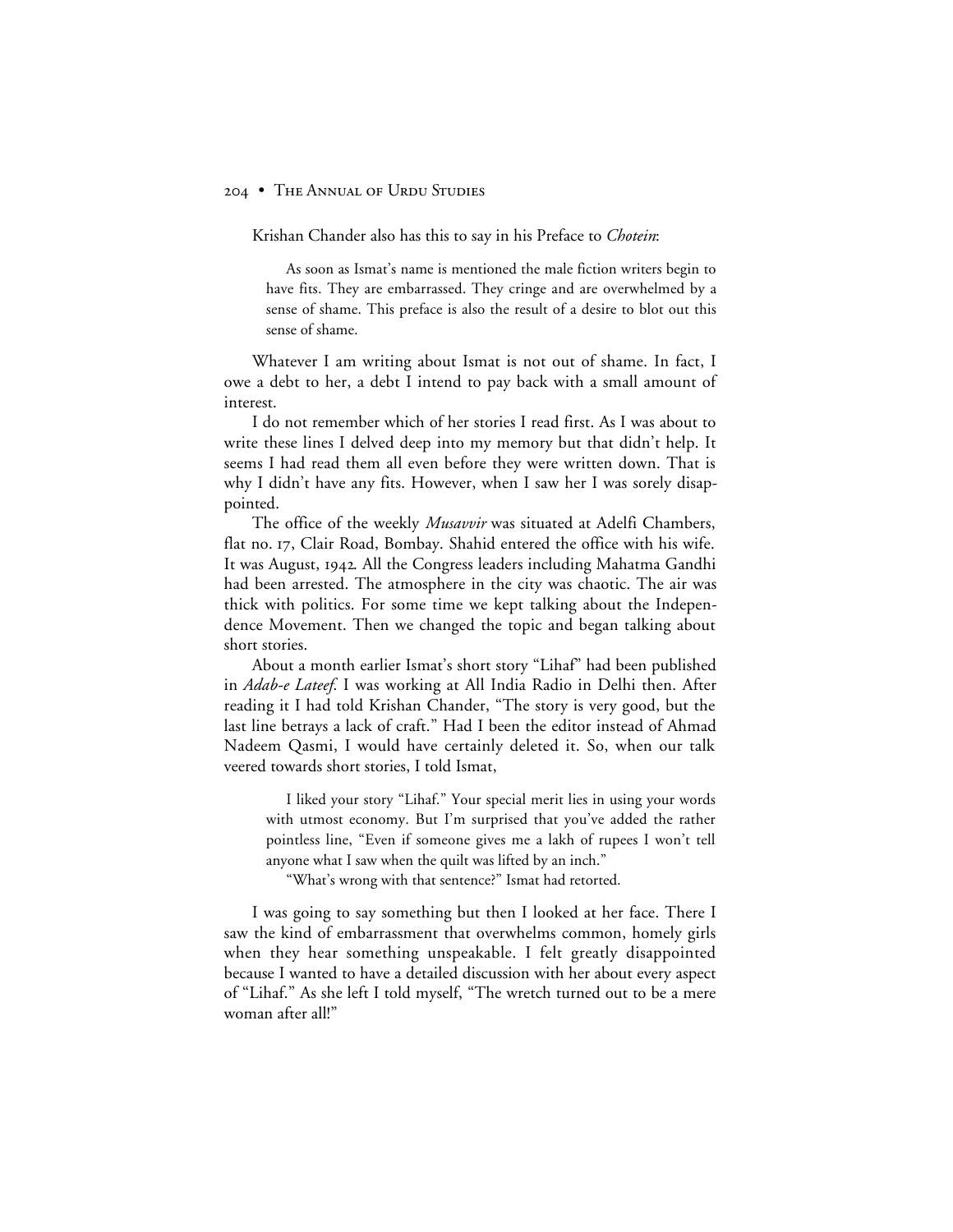Krishan Chander also has this to say in his Preface to *Chotein*:

As soon as Ismat's name is mentioned the male fiction writers begin to have fits. They are embarrassed. They cringe and are overwhelmed by a sense of shame. This preface is also the result of a desire to blot out this sense of shame.

Whatever I am writing about Ismat is not out of shame. In fact, I owe a debt to her, a debt I intend to pay back with a small amount of interest.

I do not remember which of her stories I read first. As I was about to write these lines I delved deep into my memory but that didn't help. It seems I had read them all even before they were written down. That is why I didn't have any fits. However, when I saw her I was sorely disappointed.

The office of the weekly *Musavvir* was situated at Adelfi Chambers, flat no. 17, Clair Road, Bombay. Shahid entered the office with his wife. It was August, 1942. All the Congress leaders including Mahatma Gandhi had been arrested. The atmosphere in the city was chaotic. The air was thick with politics. For some time we kept talking about the Independence Movement. Then we changed the topic and began talking about short stories.

About a month earlier Ismat's short story "Lihaf" had been published in *Adab-e Lateef*. I was working at All India Radio in Delhi then. After reading it I had told Krishan Chander, "The story is very good, but the last line betrays a lack of craft." Had I been the editor instead of Ahmad Nadeem Qasmi, I would have certainly deleted it. So, when our talk veered towards short stories, I told Ismat,

I liked your story "Lihaf." Your special merit lies in using your words with utmost economy. But I'm surprised that you've added the rather pointless line, "Even if someone gives me a lakh of rupees I won't tell anyone what I saw when the quilt was lifted by an inch."

"What's wrong with that sentence?" Ismat had retorted.

I was going to say something but then I looked at her face. There I saw the kind of embarrassment that overwhelms common, homely girls when they hear something unspeakable. I felt greatly disappointed because I wanted to have a detailed discussion with her about every aspect of "Lihaf." As she left I told myself, "The wretch turned out to be a mere woman after all!"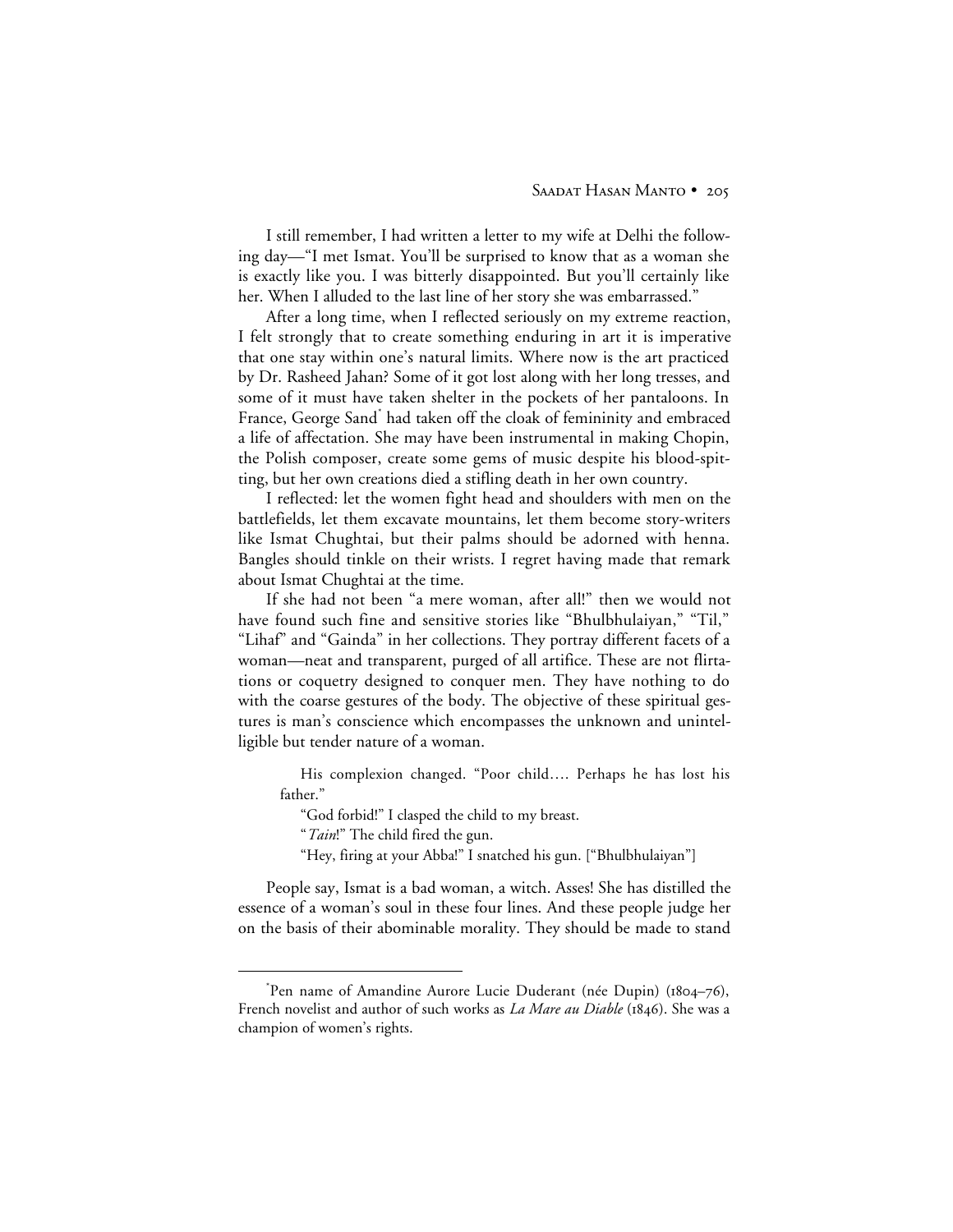I still remember, I had written a letter to my wife at Delhi the following day—"I met Ismat. You'll be surprised to know that as a woman she is exactly like you. I was bitterly disappointed. But you'll certainly like her. When I alluded to the last line of her story she was embarrassed."

After a long time, when I reflected seriously on my extreme reaction, I felt strongly that to create something enduring in art it is imperative that one stay within one's natural limits. Where now is the art practiced by Dr. Rasheed Jahan? Some of it got lost along with her long tresses, and some of it must have taken shelter in the pockets of her pantaloons. In France, George Sand\* had taken off the cloak of femininity and embraced a life of affectation. She may have been instrumental in making Chopin, the Polish composer, create some gems of music despite his blood-spitting, but her own creations died a stifling death in her own country.

I reflected: let the women fight head and shoulders with men on the battlefields, let them excavate mountains, let them become story-writers like Ismat Chughtai, but their palms should be adorned with henna. Bangles should tinkle on their wrists. I regret having made that remark about Ismat Chughtai at the time.

If she had not been "a mere woman, after all!" then we would not have found such fine and sensitive stories like "Bhulbhulaiyan," "Til," "Lihaf" and "Gainda" in her collections. They portray different facets of a woman—neat and transparent, purged of all artifice. These are not flirtations or coquetry designed to conquer men. They have nothing to do with the coarse gestures of the body. The objective of these spiritual gestures is man's conscience which encompasses the unknown and unintelligible but tender nature of a woman.

His complexion changed. "Poor child…. Perhaps he has lost his father."

"God forbid!" I clasped the child to my breast.

"*Tain*!" The child fired the gun.

"Hey, firing at your Abba!" I snatched his gun. ["Bhulbhulaiyan"]

People say, Ismat is a bad woman, a witch. Asses! She has distilled the essence of a woman's soul in these four lines. And these people judge her on the basis of their abominable morality. They should be made to stand

 <sup>\*</sup> Pen name of Amandine Aurore Lucie Duderant (née Dupin) (1804-76), French novelist and author of such works as *La Mare au Diable* (1846). She was a champion of women's rights.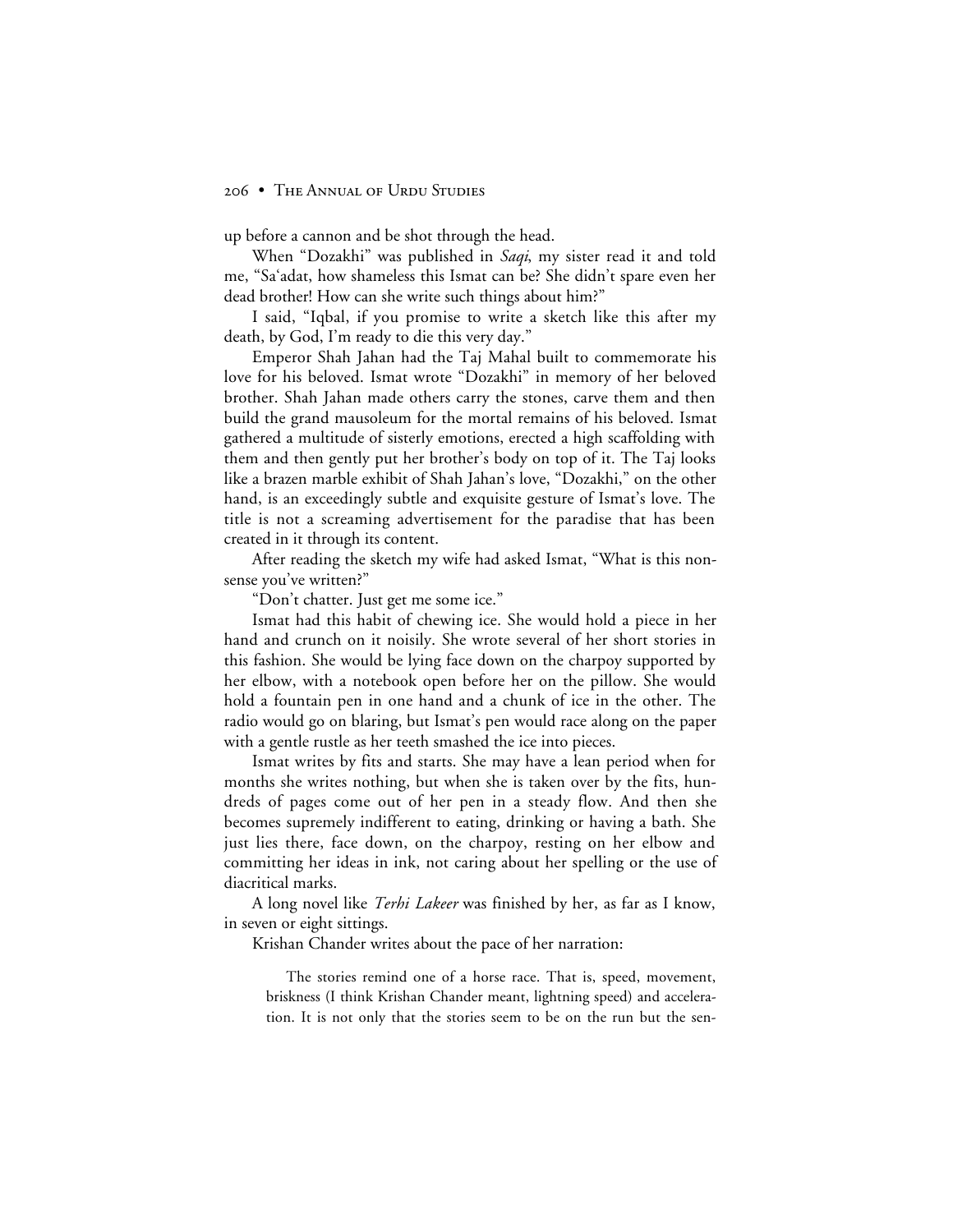up before a cannon and be shot through the head.

When "Dozakhi" was published in *Saqi*, my sister read it and told me, "Sa'adat, how shameless this Ismat can be? She didn't spare even her dead brother! How can she write such things about him?"

I said, "Iqbal, if you promise to write a sketch like this after my death, by God, I'm ready to die this very day."

Emperor Shah Jahan had the Taj Mahal built to commemorate his love for his beloved. Ismat wrote "Dozakhi" in memory of her beloved brother. Shah Jahan made others carry the stones, carve them and then build the grand mausoleum for the mortal remains of his beloved. Ismat gathered a multitude of sisterly emotions, erected a high scaffolding with them and then gently put her brother's body on top of it. The Taj looks like a brazen marble exhibit of Shah Jahan's love, "Dozakhi," on the other hand, is an exceedingly subtle and exquisite gesture of Ismat's love. The title is not a screaming advertisement for the paradise that has been created in it through its content.

After reading the sketch my wife had asked Ismat, "What is this nonsense you've written?"

"Don't chatter. Just get me some ice."

Ismat had this habit of chewing ice. She would hold a piece in her hand and crunch on it noisily. She wrote several of her short stories in this fashion. She would be lying face down on the charpoy supported by her elbow, with a notebook open before her on the pillow. She would hold a fountain pen in one hand and a chunk of ice in the other. The radio would go on blaring, but Ismat's pen would race along on the paper with a gentle rustle as her teeth smashed the ice into pieces.

Ismat writes by fits and starts. She may have a lean period when for months she writes nothing, but when she is taken over by the fits, hundreds of pages come out of her pen in a steady flow. And then she becomes supremely indifferent to eating, drinking or having a bath. She just lies there, face down, on the charpoy, resting on her elbow and committing her ideas in ink, not caring about her spelling or the use of diacritical marks.

A long novel like *Terhi Lakeer* was finished by her, as far as I know, in seven or eight sittings.

Krishan Chander writes about the pace of her narration:

The stories remind one of a horse race. That is, speed, movement, briskness (I think Krishan Chander meant, lightning speed) and acceleration. It is not only that the stories seem to be on the run but the sen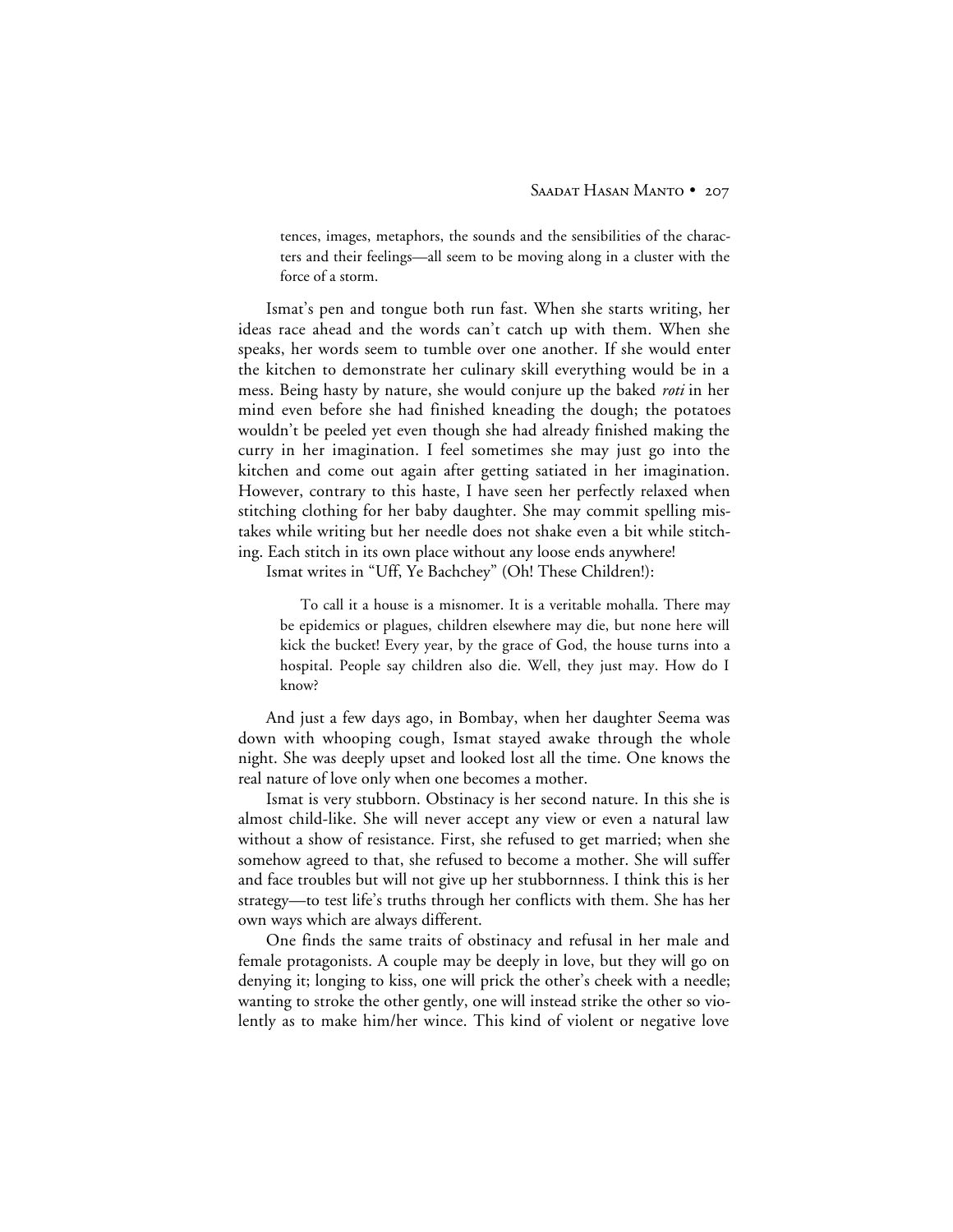tences, images, metaphors, the sounds and the sensibilities of the characters and their feelings—all seem to be moving along in a cluster with the force of a storm.

Ismat's pen and tongue both run fast. When she starts writing, her ideas race ahead and the words can't catch up with them. When she speaks, her words seem to tumble over one another. If she would enter the kitchen to demonstrate her culinary skill everything would be in a mess. Being hasty by nature, she would conjure up the baked *roti* in her mind even before she had finished kneading the dough; the potatoes wouldn't be peeled yet even though she had already finished making the curry in her imagination. I feel sometimes she may just go into the kitchen and come out again after getting satiated in her imagination. However, contrary to this haste, I have seen her perfectly relaxed when stitching clothing for her baby daughter. She may commit spelling mistakes while writing but her needle does not shake even a bit while stitching. Each stitch in its own place without any loose ends anywhere!

Ismat writes in "Uff, Ye Bachchey" (Oh! These Children!):

To call it a house is a misnomer. It is a veritable mohalla. There may be epidemics or plagues, children elsewhere may die, but none here will kick the bucket! Every year, by the grace of God, the house turns into a hospital. People say children also die. Well, they just may. How do I know?

And just a few days ago, in Bombay, when her daughter Seema was down with whooping cough, Ismat stayed awake through the whole night. She was deeply upset and looked lost all the time. One knows the real nature of love only when one becomes a mother.

Ismat is very stubborn. Obstinacy is her second nature. In this she is almost child-like. She will never accept any view or even a natural law without a show of resistance. First, she refused to get married; when she somehow agreed to that, she refused to become a mother. She will suffer and face troubles but will not give up her stubbornness. I think this is her strategy—to test life's truths through her conflicts with them. She has her own ways which are always different.

One finds the same traits of obstinacy and refusal in her male and female protagonists. A couple may be deeply in love, but they will go on denying it; longing to kiss, one will prick the other's cheek with a needle; wanting to stroke the other gently, one will instead strike the other so violently as to make him/her wince. This kind of violent or negative love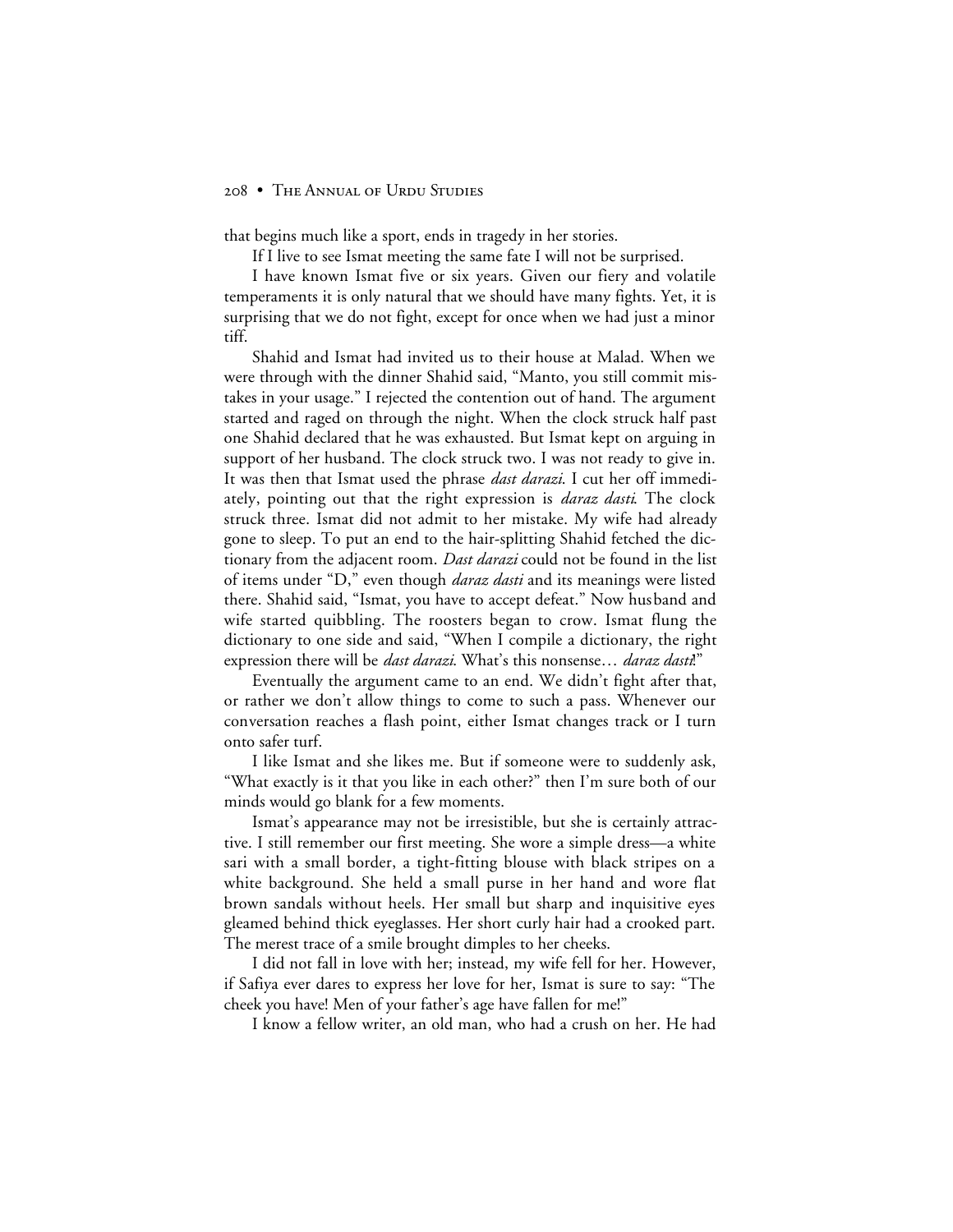that begins much like a sport, ends in tragedy in her stories.

If I live to see Ismat meeting the same fate I will not be surprised.

I have known Ismat five or six years. Given our fiery and volatile temperaments it is only natural that we should have many fights. Yet, it is surprising that we do not fight, except for once when we had just a minor tiff.

Shahid and Ismat had invited us to their house at Malad. When we were through with the dinner Shahid said, "Manto, you still commit mistakes in your usage." I rejected the contention out of hand. The argument started and raged on through the night. When the clock struck half past one Shahid declared that he was exhausted. But Ismat kept on arguing in support of her husband. The clock struck two. I was not ready to give in. It was then that Ismat used the phrase *dast darazi*. I cut her off immediately, pointing out that the right expression is *daraz dasti*. The clock struck three. Ismat did not admit to her mistake. My wife had already gone to sleep. To put an end to the hair-splitting Shahid fetched the dictionary from the adjacent room. *Dast darazi* could not be found in the list of items under "D," even though *daraz dasti* and its meanings were listed there. Shahid said, "Ismat, you have to accept defeat." Now husband and wife started quibbling. The roosters began to crow. Ismat flung the dictionary to one side and said, "When I compile a dictionary, the right expression there will be *dast darazi*. What's this nonsense… *daraz dasti*!"

Eventually the argument came to an end. We didn't fight after that, or rather we don't allow things to come to such a pass. Whenever our conversation reaches a flash point, either Ismat changes track or I turn onto safer turf.

I like Ismat and she likes me. But if someone were to suddenly ask, "What exactly is it that you like in each other?" then I'm sure both of our minds would go blank for a few moments.

Ismat's appearance may not be irresistible, but she is certainly attractive. I still remember our first meeting. She wore a simple dress—a white sari with a small border, a tight-fitting blouse with black stripes on a white background. She held a small purse in her hand and wore flat brown sandals without heels. Her small but sharp and inquisitive eyes gleamed behind thick eyeglasses. Her short curly hair had a crooked part. The merest trace of a smile brought dimples to her cheeks.

I did not fall in love with her; instead, my wife fell for her. However, if Safiya ever dares to express her love for her, Ismat is sure to say: "The cheek you have! Men of your father's age have fallen for me!"

I know a fellow writer, an old man, who had a crush on her. He had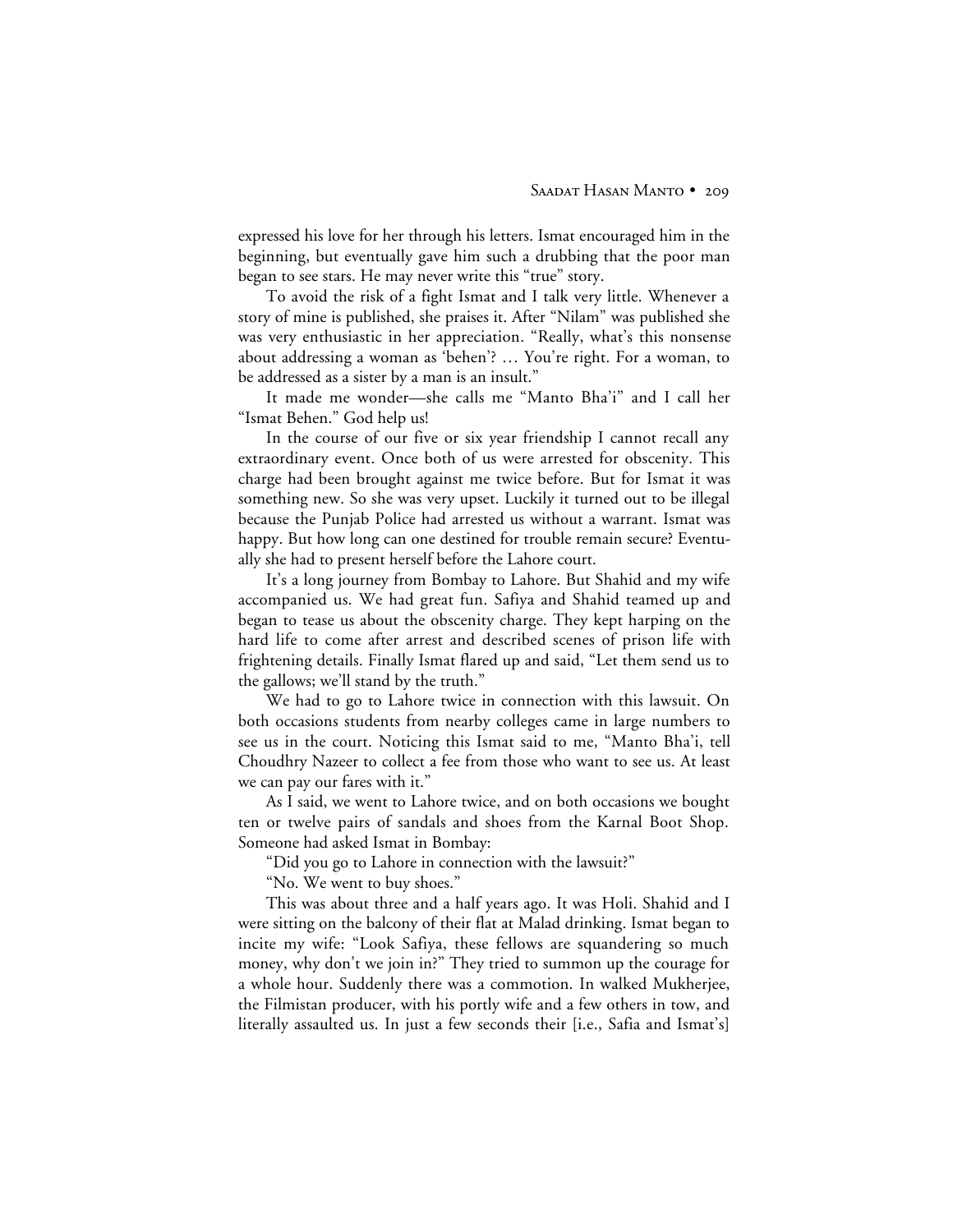expressed his love for her through his letters. Ismat encouraged him in the beginning, but eventually gave him such a drubbing that the poor man began to see stars. He may never write this "true" story.

To avoid the risk of a fight Ismat and I talk very little. Whenever a story of mine is published, she praises it. After "Nilam" was published she was very enthusiastic in her appreciation. "Really, what's this nonsense about addressing a woman as 'behen'? … You're right. For a woman, to be addressed as a sister by a man is an insult."

It made me wonder—she calls me "Manto Bha'i" and I call her "Ismat Behen." God help us!

In the course of our five or six year friendship I cannot recall any extraordinary event. Once both of us were arrested for obscenity. This charge had been brought against me twice before. But for Ismat it was something new. So she was very upset. Luckily it turned out to be illegal because the Punjab Police had arrested us without a warrant. Ismat was happy. But how long can one destined for trouble remain secure? Eventually she had to present herself before the Lahore court.

It's a long journey from Bombay to Lahore. But Shahid and my wife accompanied us. We had great fun. Safiya and Shahid teamed up and began to tease us about the obscenity charge. They kept harping on the hard life to come after arrest and described scenes of prison life with frightening details. Finally Ismat flared up and said, "Let them send us to the gallows; we'll stand by the truth."

We had to go to Lahore twice in connection with this lawsuit. On both occasions students from nearby colleges came in large numbers to see us in the court. Noticing this Ismat said to me, "Manto Bha'i, tell Choudhry Nazeer to collect a fee from those who want to see us. At least we can pay our fares with it."

As I said, we went to Lahore twice, and on both occasions we bought ten or twelve pairs of sandals and shoes from the Karnal Boot Shop. Someone had asked Ismat in Bombay:

"Did you go to Lahore in connection with the lawsuit?"

"No. We went to buy shoes."

This was about three and a half years ago. It was Holi. Shahid and I were sitting on the balcony of their flat at Malad drinking. Ismat began to incite my wife: "Look Safiya, these fellows are squandering so much money, why don't we join in?" They tried to summon up the courage for a whole hour. Suddenly there was a commotion. In walked Mukherjee, the Filmistan producer, with his portly wife and a few others in tow, and literally assaulted us. In just a few seconds their [i.e., Safia and Ismat's]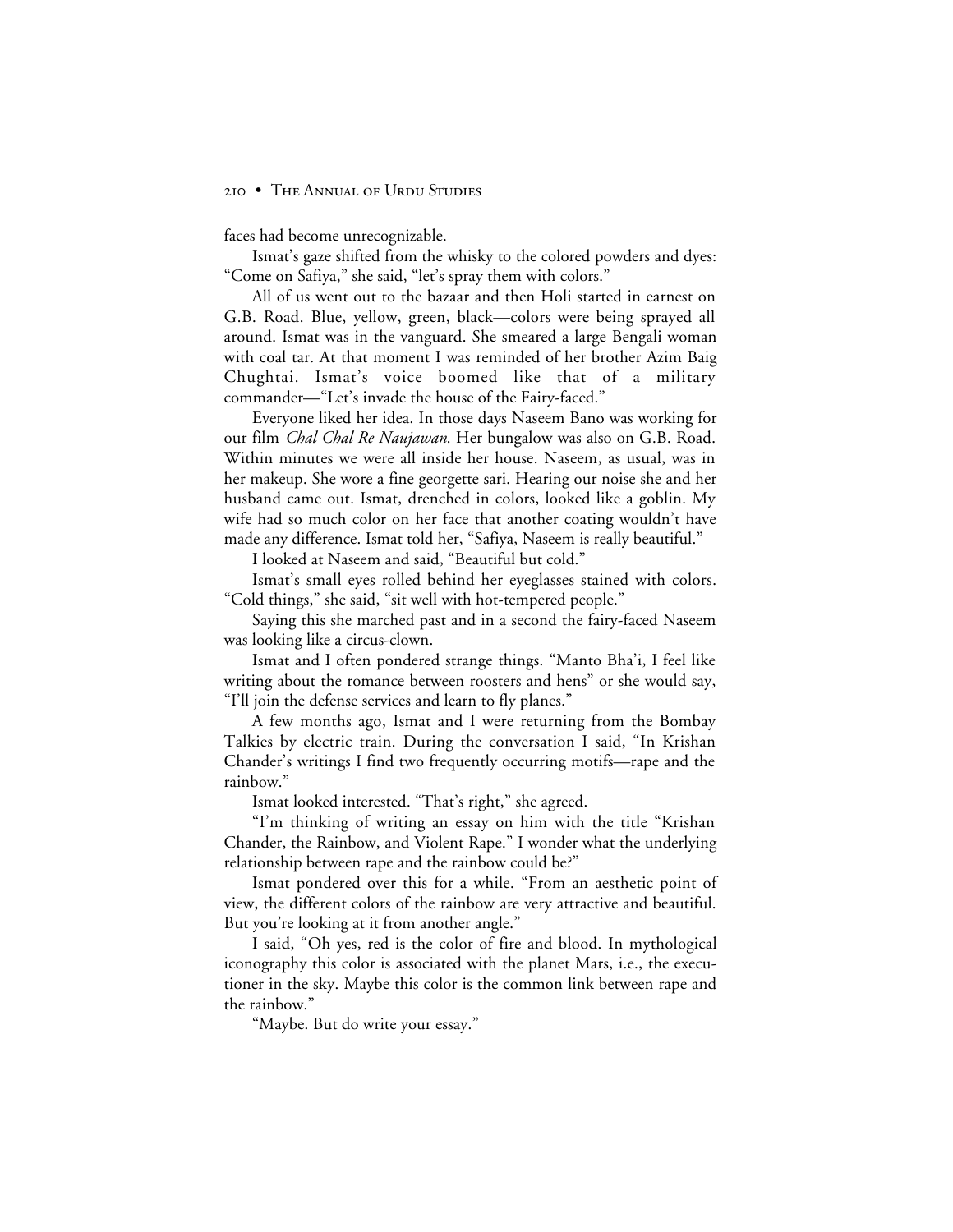faces had become unrecognizable.

Ismat's gaze shifted from the whisky to the colored powders and dyes: "Come on Safiya," she said, "let's spray them with colors."

All of us went out to the bazaar and then Holi started in earnest on G.B. Road. Blue, yellow, green, black—colors were being sprayed all around. Ismat was in the vanguard. She smeared a large Bengali woman with coal tar. At that moment I was reminded of her brother Azim Baig Chughtai. Ismat's voice boomed like that of a military commander—"Let's invade the house of the Fairy-faced."

Everyone liked her idea. In those days Naseem Bano was working for our film *Chal Chal Re Naujawan*. Her bungalow was also on G.B. Road. Within minutes we were all inside her house. Naseem, as usual, was in her makeup. She wore a fine georgette sari. Hearing our noise she and her husband came out. Ismat, drenched in colors, looked like a goblin. My wife had so much color on her face that another coating wouldn't have made any difference. Ismat told her, "Safiya, Naseem is really beautiful."

I looked at Naseem and said, "Beautiful but cold."

Ismat's small eyes rolled behind her eyeglasses stained with colors. "Cold things," she said, "sit well with hot-tempered people."

Saying this she marched past and in a second the fairy-faced Naseem was looking like a circus-clown.

Ismat and I often pondered strange things. "Manto Bha'i, I feel like writing about the romance between roosters and hens" or she would say, "I'll join the defense services and learn to fly planes."

A few months ago, Ismat and I were returning from the Bombay Talkies by electric train. During the conversation I said, "In Krishan Chander's writings I find two frequently occurring motifs—rape and the rainbow."

Ismat looked interested. "That's right," she agreed.

"I'm thinking of writing an essay on him with the title "Krishan Chander, the Rainbow, and Violent Rape." I wonder what the underlying relationship between rape and the rainbow could be?"

Ismat pondered over this for a while. "From an aesthetic point of view, the different colors of the rainbow are very attractive and beautiful. But you're looking at it from another angle."

I said, "Oh yes, red is the color of fire and blood. In mythological iconography this color is associated with the planet Mars, i.e., the executioner in the sky. Maybe this color is the common link between rape and the rainbow."

"Maybe. But do write your essay."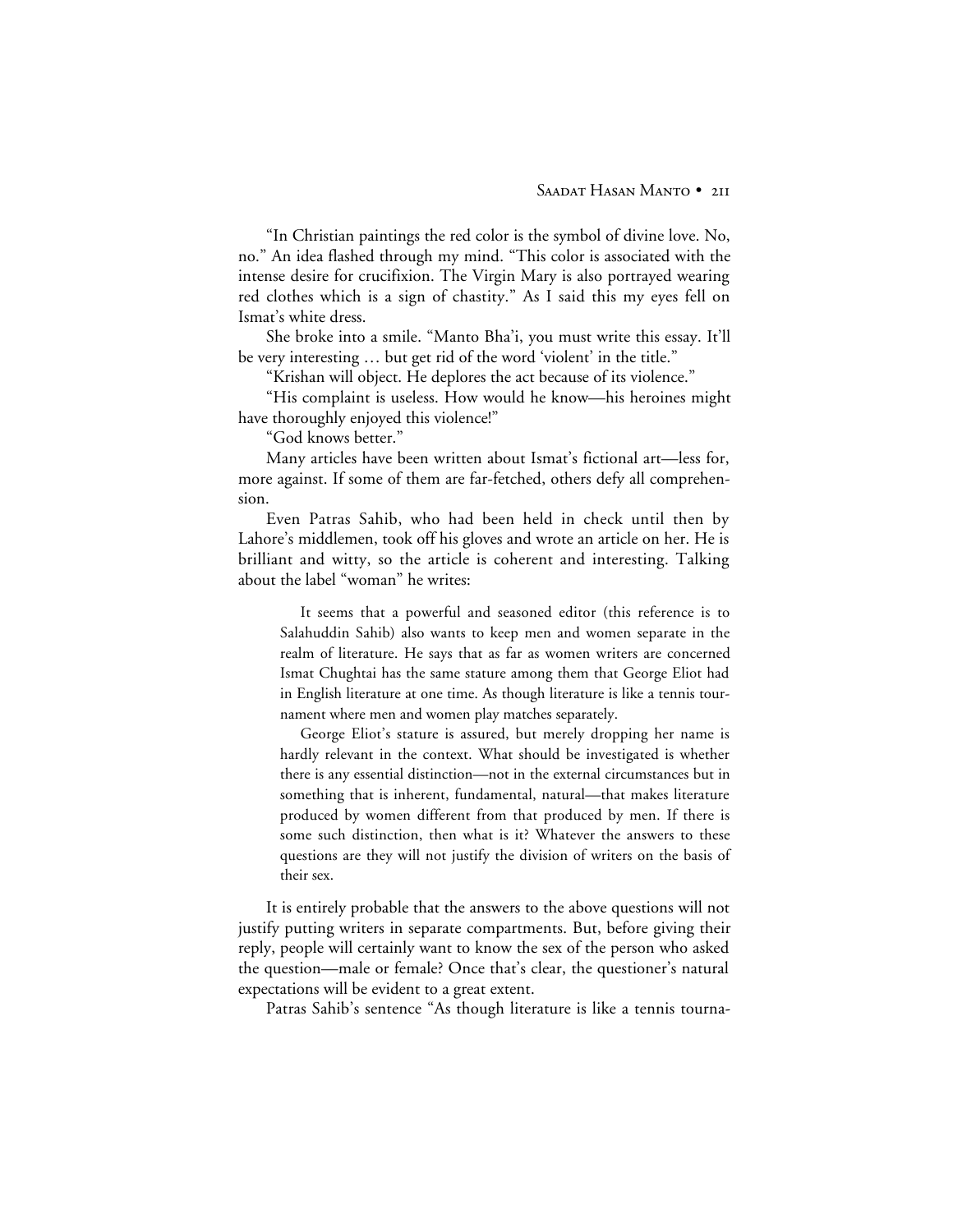"In Christian paintings the red color is the symbol of divine love. No, no." An idea flashed through my mind. "This color is associated with the intense desire for crucifixion. The Virgin Mary is also portrayed wearing red clothes which is a sign of chastity." As I said this my eyes fell on Ismat's white dress.

She broke into a smile. "Manto Bha'i, you must write this essay. It'll be very interesting … but get rid of the word 'violent' in the title."

"Krishan will object. He deplores the act because of its violence."

"His complaint is useless. How would he know—his heroines might have thoroughly enjoyed this violence!"

"God knows better."

Many articles have been written about Ismat's fictional art—less for, more against. If some of them are far-fetched, others defy all comprehension.

Even Patras Sahib, who had been held in check until then by Lahore's middlemen, took off his gloves and wrote an article on her. He is brilliant and witty, so the article is coherent and interesting. Talking about the label "woman" he writes:

It seems that a powerful and seasoned editor (this reference is to Salahuddin Sahib) also wants to keep men and women separate in the realm of literature. He says that as far as women writers are concerned Ismat Chughtai has the same stature among them that George Eliot had in English literature at one time. As though literature is like a tennis tournament where men and women play matches separately.

George Eliot's stature is assured, but merely dropping her name is hardly relevant in the context. What should be investigated is whether there is any essential distinction—not in the external circumstances but in something that is inherent, fundamental, natural—that makes literature produced by women different from that produced by men. If there is some such distinction, then what is it? Whatever the answers to these questions are they will not justify the division of writers on the basis of their sex.

It is entirely probable that the answers to the above questions will not justify putting writers in separate compartments. But, before giving their reply, people will certainly want to know the sex of the person who asked the question—male or female? Once that's clear, the questioner's natural expectations will be evident to a great extent.

Patras Sahib's sentence "As though literature is like a tennis tourna-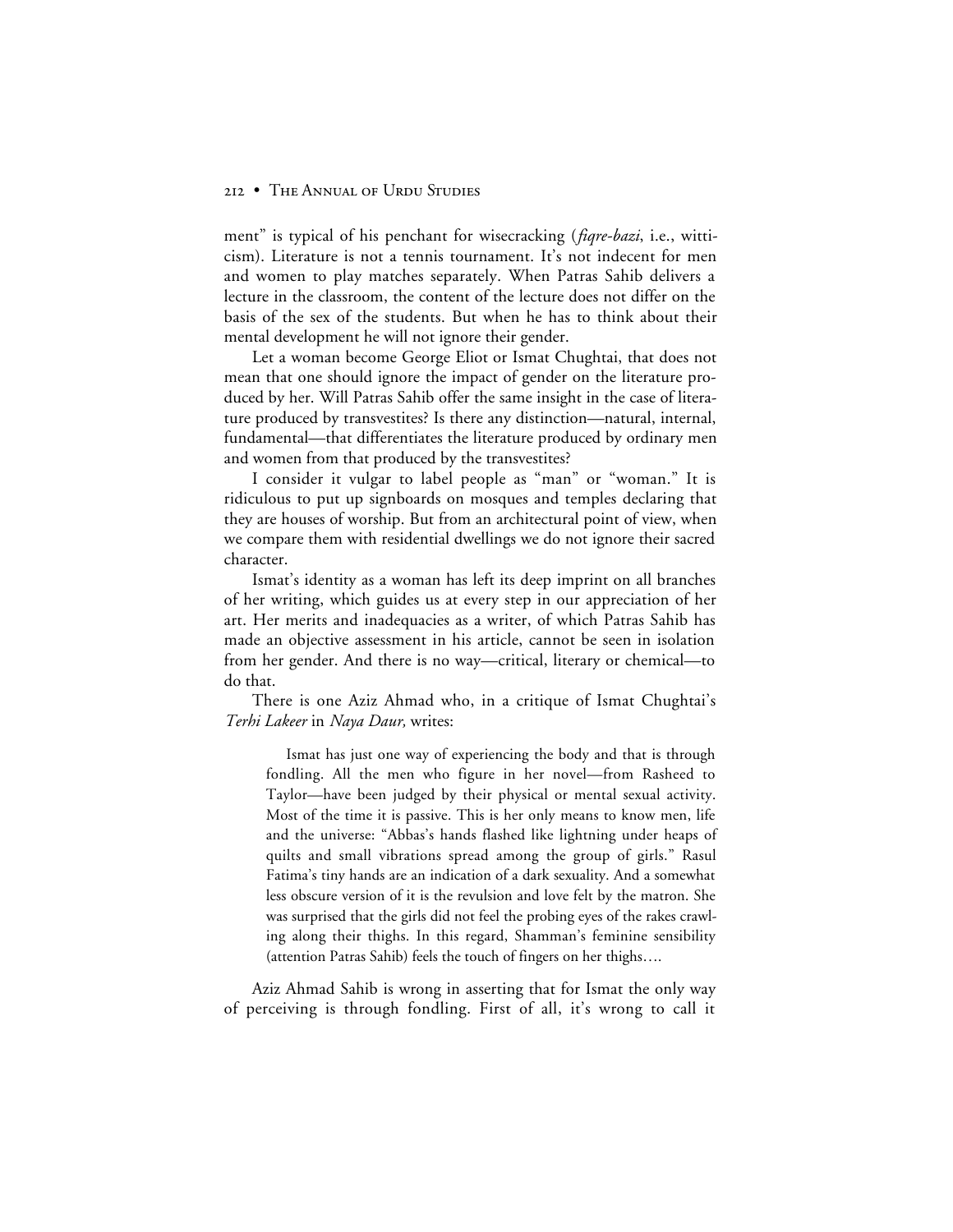ment" is typical of his penchant for wisecracking (*fiqre-bazi*, i.e., witticism). Literature is not a tennis tournament. It's not indecent for men and women to play matches separately. When Patras Sahib delivers a lecture in the classroom, the content of the lecture does not differ on the basis of the sex of the students. But when he has to think about their mental development he will not ignore their gender.

Let a woman become George Eliot or Ismat Chughtai, that does not mean that one should ignore the impact of gender on the literature produced by her. Will Patras Sahib offer the same insight in the case of literature produced by transvestites? Is there any distinction—natural, internal, fundamental—that differentiates the literature produced by ordinary men and women from that produced by the transvestites?

I consider it vulgar to label people as "man" or "woman." It is ridiculous to put up signboards on mosques and temples declaring that they are houses of worship. But from an architectural point of view, when we compare them with residential dwellings we do not ignore their sacred character.

Ismat's identity as a woman has left its deep imprint on all branches of her writing, which guides us at every step in our appreciation of her art. Her merits and inadequacies as a writer, of which Patras Sahib has made an objective assessment in his article, cannot be seen in isolation from her gender. And there is no way—critical, literary or chemical—to do that.

There is one Aziz Ahmad who, in a critique of Ismat Chughtai's *Terhi Lakeer* in *Naya Daur,* writes:

Ismat has just one way of experiencing the body and that is through fondling. All the men who figure in her novel—from Rasheed to Taylor—have been judged by their physical or mental sexual activity. Most of the time it is passive. This is her only means to know men, life and the universe: "Abbas's hands flashed like lightning under heaps of quilts and small vibrations spread among the group of girls." Rasul Fatima's tiny hands are an indication of a dark sexuality. And a somewhat less obscure version of it is the revulsion and love felt by the matron. She was surprised that the girls did not feel the probing eyes of the rakes crawling along their thighs. In this regard, Shamman's feminine sensibility (attention Patras Sahib) feels the touch of fingers on her thighs….

Aziz Ahmad Sahib is wrong in asserting that for Ismat the only way of perceiving is through fondling. First of all, it's wrong to call it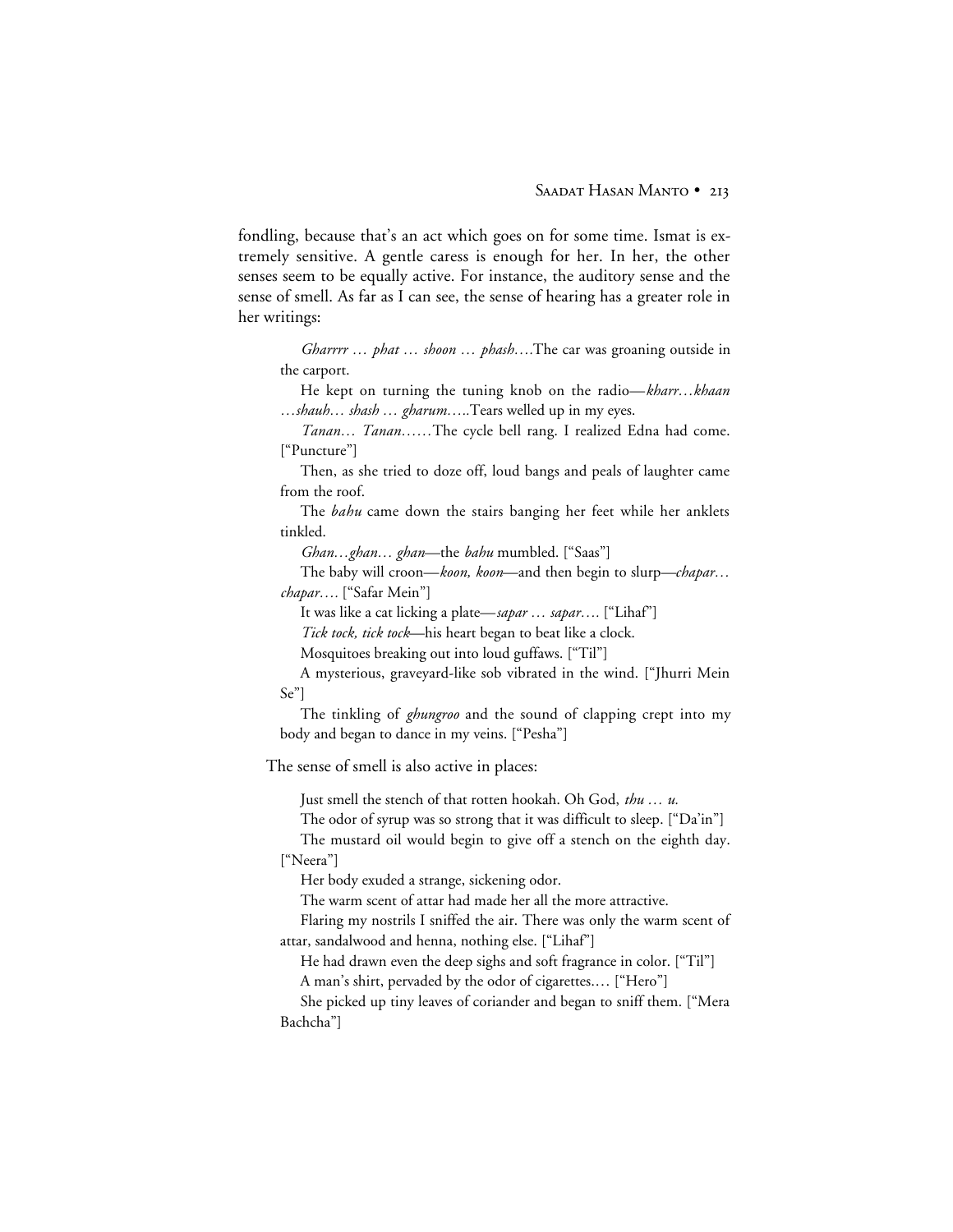fondling, because that's an act which goes on for some time. Ismat is extremely sensitive. A gentle caress is enough for her. In her, the other senses seem to be equally active. For instance, the auditory sense and the sense of smell. As far as I can see, the sense of hearing has a greater role in her writings:

*Gharrrr … phat … shoon … phash….*The car was groaning outside in the carport.

He kept on turning the tuning knob on the radio—*kharr…khaan …shauh… shash … gharum…..*Tears welled up in my eyes.

*Tanan… Tanan……*The cycle bell rang. I realized Edna had come. ["Puncture"]

Then, as she tried to doze off, loud bangs and peals of laughter came from the roof.

The *bahu* came down the stairs banging her feet while her anklets tinkled.

*Ghan…ghan… ghan*—the *bahu* mumbled. ["Saas"]

The baby will croon—*koon, koon*—and then begin to slurp—*chapar… chapar….* ["Safar Mein"]

It was like a cat licking a plate—*sapar … sapar….* ["Lihaf"]

*Tick tock, tick tock*—his heart began to beat like a clock.

Mosquitoes breaking out into loud guffaws. ["Til"]

A mysterious, graveyard-like sob vibrated in the wind. ["Jhurri Mein Se"]

The tinkling of *ghungroo* and the sound of clapping crept into my body and began to dance in my veins. ["Pesha"]

The sense of smell is also active in places:

Just smell the stench of that rotten hookah. Oh God, *thu … u.*

The odor of syrup was so strong that it was difficult to sleep. ["Da'in"]

The mustard oil would begin to give off a stench on the eighth day. ["Neera"]

Her body exuded a strange, sickening odor.

The warm scent of attar had made her all the more attractive.

Flaring my nostrils I sniffed the air. There was only the warm scent of attar, sandalwood and henna, nothing else. ["Lihaf"]

He had drawn even the deep sighs and soft fragrance in color. ["Til"] A man's shirt, pervaded by the odor of cigarettes.… ["Hero"]

She picked up tiny leaves of coriander and began to sniff them. ["Mera Bachcha"]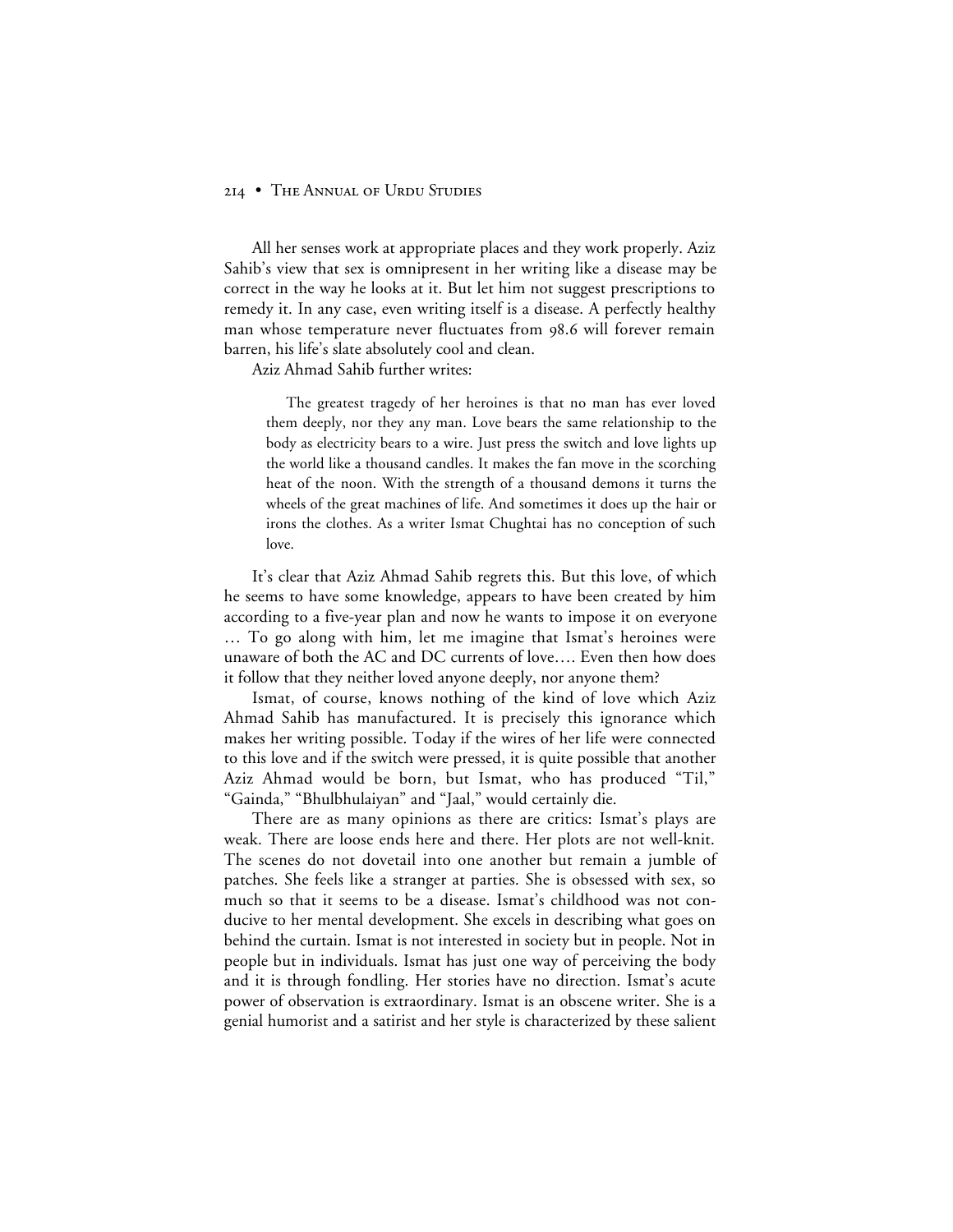All her senses work at appropriate places and they work properly. Aziz Sahib's view that sex is omnipresent in her writing like a disease may be correct in the way he looks at it. But let him not suggest prescriptions to remedy it. In any case, even writing itself is a disease. A perfectly healthy man whose temperature never fluctuates from 98.6 will forever remain barren, his life's slate absolutely cool and clean.

Aziz Ahmad Sahib further writes:

The greatest tragedy of her heroines is that no man has ever loved them deeply, nor they any man. Love bears the same relationship to the body as electricity bears to a wire. Just press the switch and love lights up the world like a thousand candles. It makes the fan move in the scorching heat of the noon. With the strength of a thousand demons it turns the wheels of the great machines of life. And sometimes it does up the hair or irons the clothes. As a writer Ismat Chughtai has no conception of such love.

It's clear that Aziz Ahmad Sahib regrets this. But this love, of which he seems to have some knowledge, appears to have been created by him according to a five-year plan and now he wants to impose it on everyone … To go along with him, let me imagine that Ismat's heroines were unaware of both the AC and DC currents of love…. Even then how does it follow that they neither loved anyone deeply, nor anyone them?

Ismat, of course, knows nothing of the kind of love which Aziz Ahmad Sahib has manufactured. It is precisely this ignorance which makes her writing possible. Today if the wires of her life were connected to this love and if the switch were pressed, it is quite possible that another Aziz Ahmad would be born, but Ismat, who has produced "Til," "Gainda," "Bhulbhulaiyan" and "Jaal," would certainly die.

There are as many opinions as there are critics: Ismat's plays are weak. There are loose ends here and there. Her plots are not well-knit. The scenes do not dovetail into one another but remain a jumble of patches. She feels like a stranger at parties. She is obsessed with sex, so much so that it seems to be a disease. Ismat's childhood was not conducive to her mental development. She excels in describing what goes on behind the curtain. Ismat is not interested in society but in people. Not in people but in individuals. Ismat has just one way of perceiving the body and it is through fondling. Her stories have no direction. Ismat's acute power of observation is extraordinary. Ismat is an obscene writer. She is a genial humorist and a satirist and her style is characterized by these salient